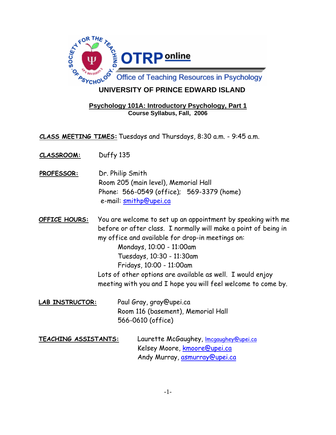

#### **Psychology 101A: Introductory Psychology, Part 1 Course Syllabus, Fall, 2006**

**CLASS MEETING TIMES:** Tuesdays and Thursdays, 8:30 a.m. - 9:45 a.m.

- **CLASSROOM:** Duffy 135
- **PROFESSOR:** Dr. Philip Smith Room 205 (main level), Memorial Hall Phone: 566-0549 (office); 569-3379 (home) e-mail: [smithp@upei.ca](mailto:smithp@upei.ca)

**OFFICE HOURS:** You are welcome to set up an appointment by speaking with me before or after class. I normally will make a point of being in my office and available for drop-in meetings on: Mondays, 10:00 - 11:00am Tuesdays, 10:30 - 11:30am Fridays, 10:00 - 11:00am Lots of other options are available as well. I would enjoy meeting with you and I hope you will feel welcome to come by.

**LAB INSTRUCTOR:** Paul Gray, gray@upei.ca Room 116 (basement), Memorial Hall 566-0610 (office)

TEACHING ASSISTANTS: Laurette McGaughey, Incgaughey@upei.ca Kelsey Moore, [kmoore@upei.ca](mailto:kmoore@upei.ca) Andy Murray, [asmurray@upei.ca](mailto:asmurray@upei.ca)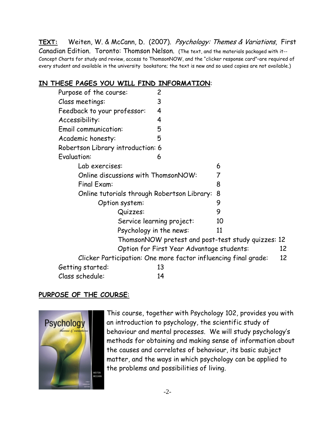**TEXT:** Weiten, W. & McCann, D. (2007). Psychology: Themes & Variations, First Canadian Edition. Toronto: Thomson Nelson. (The text, and the materials packaged with it-- Concept Charts for study and review, access to ThomsonNOW, and the "clicker response card"–are required of every student and available in the university bookstore; the text is new and so used copies are not available.)

## **IN THESE PAGES YOU WILL FIND INFORMATION**:

|  | Purpose of the course:                                          | 2                                         |    |    |
|--|-----------------------------------------------------------------|-------------------------------------------|----|----|
|  | Class meetings:                                                 | 3                                         |    |    |
|  | Feedback to your professor:                                     | 4                                         |    |    |
|  | Accessibility:                                                  | 4                                         |    |    |
|  | <b>Email communication:</b>                                     | 5                                         |    |    |
|  | Academic honesty:                                               | 5                                         |    |    |
|  | Robertson Library introduction: 6                               |                                           |    |    |
|  | <b>Evaluation:</b>                                              | 6                                         |    |    |
|  | Lab exercises:                                                  |                                           | 6  |    |
|  | Online discussions with ThomsonNOW:                             |                                           |    |    |
|  | Final Exam:                                                     |                                           | 8  |    |
|  | Online tutorials through Robertson Library:<br>Option system:   |                                           | 8  |    |
|  |                                                                 |                                           | 9  |    |
|  | Quizzes:                                                        |                                           | 9  |    |
|  |                                                                 | Service learning project:                 | 10 |    |
|  |                                                                 | Psychology in the news:                   | 11 |    |
|  | ThomsonNOW pretest and post-test study quizzes: 12              |                                           |    |    |
|  |                                                                 | Option for First Year Advantage students: | 12 |    |
|  | Clicker Participation: One more factor influencing final grade: |                                           |    | 12 |
|  | Getting started:                                                | 13                                        |    |    |
|  | Class schedule:                                                 | 14                                        |    |    |

## **PURPOSE OF THE COURSE**:



This course, together with Psychology 102, provides you with an introduction to psychology, the scientific study of behaviour and mental processes. We will study psychology's methods for obtaining and making sense of information about the causes and correlates of behaviour, its basic subject matter, and the ways in which psychology can be applied to the problems and possibilities of living.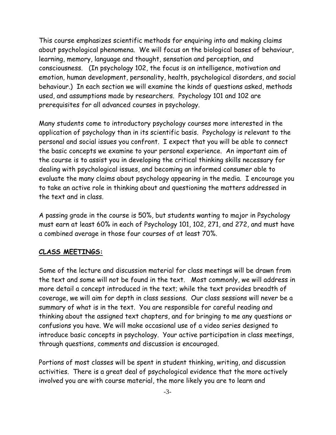This course emphasizes scientific methods for enquiring into and making claims about psychological phenomena. We will focus on the biological bases of behaviour, learning, memory, language and thought, sensation and perception, and consciousness. (In psychology 102, the focus is on intelligence, motivation and emotion, human development, personality, health, psychological disorders, and social behaviour.) In each section we will examine the kinds of questions asked, methods used, and assumptions made by researchers. Psychology 101 and 102 are prerequisites for all advanced courses in psychology.

Many students come to introductory psychology courses more interested in the application of psychology than in its scientific basis. Psychology is relevant to the personal and social issues you confront. I expect that you will be able to connect the basic concepts we examine to your personal experience. An important aim of the course is to assist you in developing the critical thinking skills necessary for dealing with psychological issues, and becoming an informed consumer able to evaluate the many claims about psychology appearing in the media. I encourage you to take an active role in thinking about and questioning the matters addressed in the text and in class.

A passing grade in the course is 50%, but students wanting to major in Psychology must earn at least 60% in each of Psychology 101, 102, 271, and 272, and must have a combined average in those four courses of at least 70%.

## **CLASS MEETINGS:**

Some of the lecture and discussion material for class meetings will be drawn from the text and some will not be found in the text. Most commonly, we will address in more detail a concept introduced in the text; while the text provides breadth of coverage, we will aim for depth in class sessions. Our class sessions will never be a summary of what is in the text. You are responsible for careful reading and thinking about the assigned text chapters, and for bringing to me any questions or confusions you have. We will make occasional use of a video series designed to introduce basic concepts in psychology. Your active participation in class meetings, through questions, comments and discussion is encouraged.

Portions of most classes will be spent in student thinking, writing, and discussion activities. There is a great deal of psychological evidence that the more actively involved you are with course material, the more likely you are to learn and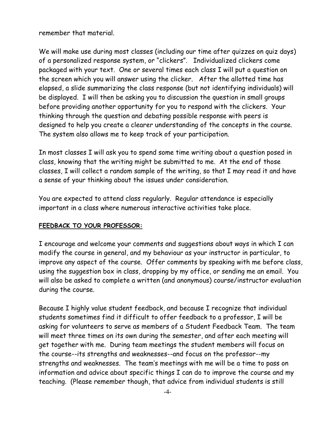remember that material.

We will make use during most classes (including our time after quizzes on quiz days) of a personalized response system, or "clickers". Individualized clickers come packaged with your text. One or several times each class I will put a question on the screen which you will answer using the clicker. After the allotted time has elapsed, a slide summarizing the class response (but not identifying individuals) will be displayed. I will then be asking you to discussion the question in small groups before providing another opportunity for you to respond with the clickers. Your thinking through the question and debating possible response with peers is designed to help you create a clearer understanding of the concepts in the course. The system also allows me to keep track of your participation.

In most classes I will ask you to spend some time writing about a question posed in class, knowing that the writing might be submitted to me. At the end of those classes, I will collect a random sample of the writing, so that I may read it and have a sense of your thinking about the issues under consideration.

You are expected to attend class regularly. Regular attendance is especially important in a class where numerous interactive activities take place.

## **FEEDBACK TO YOUR PROFESSOR:**

I encourage and welcome your comments and suggestions about ways in which I can modify the course in general, and my behaviour as your instructor in particular, to improve any aspect of the course. Offer comments by speaking with me before class, using the suggestion box in class, dropping by my office, or sending me an email. You will also be asked to complete a written (and anonymous) course/instructor evaluation during the course.

Because I highly value student feedback, and because I recognize that individual students sometimes find it difficult to offer feedback to a professor, I will be asking for volunteers to serve as members of a Student Feedback Team. The team will meet three times on its own during the semester, and after each meeting will get together with me. During team meetings the student members will focus on the course--its strengths and weaknesses--and focus on the professor--my strengths and weaknesses. The team's meetings with me will be a time to pass on information and advice about specific things I can do to improve the course and my teaching. (Please remember though, that advice from individual students is still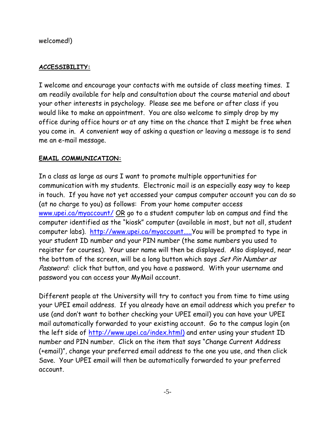welcomed!)

## **ACCESSIBILITY:**

I welcome and encourage your contacts with me outside of class meeting times. I am readily available for help and consultation about the course material and about your other interests in psychology. Please see me before or after class if you would like to make an appointment. You are also welcome to simply drop by my office during office hours or at any time on the chance that I might be free when you come in. A convenient way of asking a question or leaving a message is to send me an e-mail message.

## **EMAIL COMMUNICATION:**

In a class as large as ours I want to promote multiple opportunities for communication with my students. Electronic mail is an especially easy way to keep in touch. If you have not yet accessed your campus computer account you can do so (at no charge to you) as follows: From your home computer access [www.upei.ca/myaccount/](http://www.upei.ca/myaccount/) OR go to a student computer lab on campus and find the computer identified as the "kiosk" computer (available in most, but not all, student computer labs). [http://www.upei.ca/myaccount.....Y](http://www.upei.ca/myaccount.....)ou will be prompted to type in your student ID number and your PIN number (the same numbers you used to register for courses). Your user name will then be displayed. Also displayed, near the bottom of the screen, will be a long button which says Set Pin Number as Password: click that button, and you have a password. With your username and password you can access your MyMail account.

Different people at the University will try to contact you from time to time using your UPEI email address. If you already have an email address which you prefer to use (and don't want to bother checking your UPEI email) you can have your UPEI mail automatically forwarded to your existing account. Go to the campus login (on the left side of [http://www.upei.ca/index.html\)](http://www.upei.ca/index.html)) and enter using your student ID number and PIN number. Click on the item that says "Change Current Address (+email)", change your preferred email address to the one you use, and then click Save. Your UPEI email will then be automatically forwarded to your preferred account.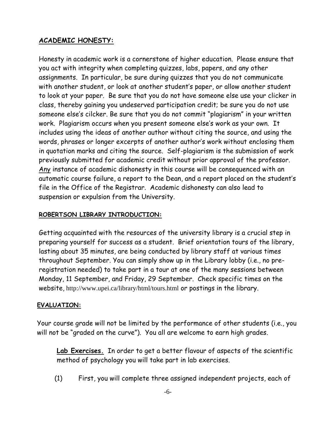## **ACADEMIC HONESTY:**

Honesty in academic work is a cornerstone of higher education. Please ensure that you act with integrity when completing quizzes, labs, papers, and any other assignments. In particular, be sure during quizzes that you do not communicate with another student, or look at another student's paper, or allow another student to look at your paper. Be sure that you do not have someone else use your clicker in class, thereby gaining you undeserved participation credit; be sure you do not use someone else's cilcker. Be sure that you do not commit "plagiarism" in your written work. Plagiarism occurs when you present someone else's work as your own. It includes using the ideas of another author without citing the source, and using the words, phrases or longer excerpts of another author's work without enclosing them in quotation marks and citing the source. Self-plagiarism is the submission of work previously submitted for academic credit without prior approval of the professor. Any instance of academic dishonesty in this course will be consequenced with an automatic course failure, a report to the Dean, and a report placed on the student's file in the Office of the Registrar. Academic dishonesty can also lead to suspension or expulsion from the University.

## **ROBERTSON LIBRARY INTRODUCTION:**

Getting acquainted with the resources of the university library is a crucial step in preparing yourself for success as a student. Brief orientation tours of the library, lasting about 35 minutes, are being conducted by library staff at various times throughout September. You can simply show up in the Library lobby (i.e., no preregistration needed) to take part in a tour at one of the many sessions between Monday, 11 September, and Friday, 29 September. Check specific times on the website, [http://www.upei.ca/library/html/tours.html](http://www.upei.ca/library/html/tours.html/) or postings in the library.

## **EVALUATION:**

Your course grade will not be limited by the performance of other students (i.e., you will not be "graded on the curve"). You all are welcome to earn high grades.

**Lab Exercises.** In order to get a better flavour of aspects of the scientific method of psychology you will take part in lab exercises.

(1) First, you will complete three assigned independent projects, each of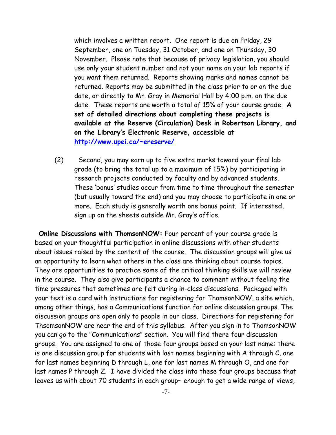which involves a written report. One report is due on Friday, 29 September, one on Tuesday, 31 October, and one on Thursday, 30 November. Please note that because of privacy legislation, you should use only your student number and not your name on your lab reports if you want them returned. Reports showing marks and names cannot be returned. Reports may be submitted in the class prior to or on the due date, or directly to Mr. Gray in Memorial Hall by 4:00 p.m. on the due date. These reports are worth a total of 15% of your course grade. **A set of detailed directions about completing these projects is available at the Reserve (Circulation) Desk in Robertson Library, and on the Library's Electronic Reserve, accessible at [http://www.upei.ca/~ereserve/](http://www.upei.ca/%7Eereserve/)** 

(2) Second, you may earn up to five extra marks toward your final lab grade (to bring the total up to a maximum of 15%) by participating in research projects conducted by faculty and by advanced students. These 'bonus' studies occur from time to time throughout the semester (but usually toward the end) and you may choose to participate in one or more. Each study is generally worth one bonus point. If interested, sign up on the sheets outside Mr. Gray's office.

**Online Discussions with ThomsonNOW:** Four percent of your course grade is based on your thoughtful participation in online discussions with other students about issues raised by the content of the course. The discussion groups will give us an opportunity to learn what others in the class are thinking about course topics. They are opportunities to practice some of the critical thinking skills we will review in the course. They also give participants a chance to comment without feeling the time pressures that sometimes are felt during in-class discussions. Packaged with your text is a card with instructions for registering for ThomsonNOW, a site which, among other things, has a Communications function for online discussion groups. The discussion groups are open only to people in our class. Directions for registering for ThsomsonNOW are near the end of this syllabus. After you sign in to ThomsonNOW you can go to the "Communications" section. You will find there four discussion groups. You are assigned to one of those four groups based on your last name: there is one discussion group for students with last names beginning with A through C, one for last names beginning D through L, one for last names M through O, and one for last names P through Z. I have divided the class into these four groups because that leaves us with about 70 students in each group–-enough to get a wide range of views,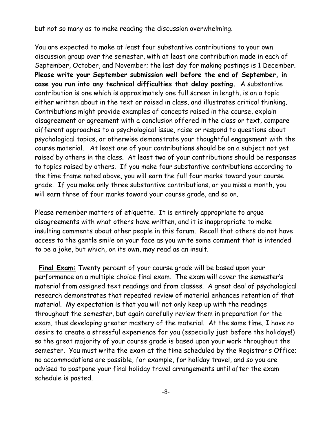but not so many as to make reading the discussion overwhelming.

You are expected to make at least four substantive contributions to your own discussion group over the semester, with at least one contribution made in each of September, October, and November; the last day for making postings is 1 December. **Please write your September submission well before the end of September, in case you run into any technical difficulties that delay posting.** A substantive contribution is one which is approximately one full screen in length, is on a topic either written about in the text or raised in class, and illustrates critical thinking. Contributions might provide examples of concepts raised in the course, explain disagreement or agreement with a conclusion offered in the class or text, compare different approaches to a psychological issue, raise or respond to questions about psychological topics, or otherwise demonstrate your thoughtful engagement with the course material. At least one of your contributions should be on a subject not yet raised by others in the class. At least two of your contributions should be responses to topics raised by others. If you make four substantive contributions according to the time frame noted above, you will earn the full four marks toward your course grade. If you make only three substantive contributions, or you miss a month, you will earn three of four marks toward your course grade, and so on.

Please remember matters of etiquette. It is entirely appropriate to argue disagreements with what others have written, and it is inappropriate to make insulting comments about other people in this forum. Recall that others do not have access to the gentle smile on your face as you write some comment that is intended to be a joke, but which, on its own, may read as an insult.

**Final Exam:** Twenty percent of your course grade will be based upon your performance on a multiple choice final exam. The exam will cover the semester's material from assigned text readings and from classes. A great deal of psychological research demonstrates that repeated review of material enhances retention of that material. My expectation is that you will not only keep up with the readings throughout the semester, but again carefully review them in preparation for the exam, thus developing greater mastery of the material. At the same time, I have no desire to create a stressful experience for you (especially just before the holidays!) so the great majority of your course grade is based upon your work throughout the semester. You must write the exam at the time scheduled by the Registrar's Office; no accommodations are possible, for example, for holiday travel, and so you are advised to postpone your final holiday travel arrangements until after the exam schedule is posted.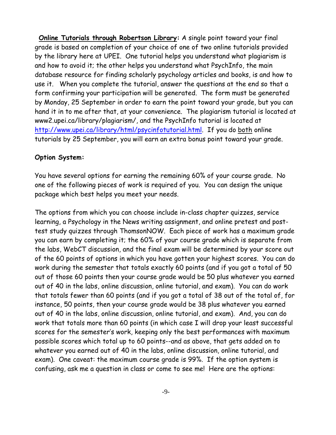**Online Tutorials through Robertson Library:** A single point toward your final grade is based on completion of your choice of one of two online tutorials provided by the library here at UPEI. One tutorial helps you understand what plagiarism is and how to avoid it; the other helps you understand what PsychInfo, the main database resource for finding scholarly psychology articles and books, is and how to use it. When you complete the tutorial, answer the questions at the end so that a form confirming your participation will be generated. The form must be generated by Monday, 25 September in order to earn the point toward your grade, but you can hand it in to me after that, at your convenience. The plagiarism tutorial is located at www2.upei.ca/library/plagiarism/, and the PsychInfo tutorial is located at [http://www.upei.ca/library/html/psycinfotutorial.html.](http://www.upei.ca/library/html/psycinfotutorial.html) If you do both online tutorials by 25 September, you will earn an extra bonus point toward your grade.

### **Option System:**

You have several options for earning the remaining 60% of your course grade. No one of the following pieces of work is required of you. You can design the unique package which best helps you meet your needs.

The options from which you can choose include in-class chapter quizzes, service learning, a Psychology in the News writing assignment, and online pretest and posttest study quizzes through ThomsonNOW. Each piece of work has a maximum grade you can earn by completing it; the 60% of your course grade which is separate from the labs, WebCT discussion, and the final exam will be determined by your score out of the 60 points of options in which you have gotten your highest scores. You can do work during the semester that totals exactly 60 points (and if you got a total of 50 out of those 60 points then your course grade would be 50 plus whatever you earned out of 40 in the labs, online discussion, online tutorial, and exam). You can do work that totals fewer than 60 points (and if you got a total of 38 out of the total of, for instance, 50 points, then your course grade would be 38 plus whatever you earned out of 40 in the labs, online discussion, online tutorial, and exam). And, you can do work that totals more than 60 points (in which case I will drop your least successful scores for the semester's work, keeping only the best performances with maximum possible scores which total up to 60 points--and as above, that gets added on to whatever you earned out of 40 in the labs, online discussion, online tutorial, and exam). One caveat: the maximum course grade is 99%. If the option system is confusing, ask me a question in class or come to see me! Here are the options: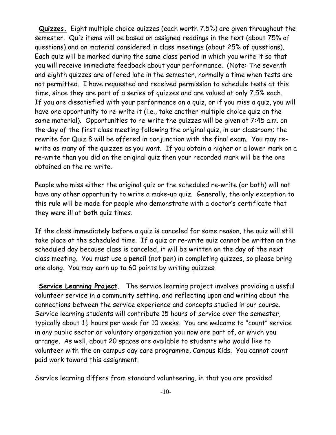**Quizzes.** Eight multiple choice quizzes (each worth 7.5%) are given throughout the semester. Quiz items will be based on assigned readings in the text (about 75% of questions) and on material considered in class meetings (about 25% of questions). Each quiz will be marked during the same class period in which you write it so that you will receive immediate feedback about your performance. (Note: The seventh and eighth quizzes are offered late in the semester, normally a time when tests are not permitted. I have requested and received permission to schedule tests at this time, since they are part of a series of quizzes and are valued at only 7.5% each. If you are dissatisfied with your performance on a quiz, or if you miss a quiz, you will have one opportunity to re-write it (i.e., take another multiple choice quiz on the same material). Opportunities to re-write the quizzes will be given at 7:45 a.m. on the day of the first class meeting following the original quiz, in our classroom; the rewrite for Quiz 8 will be offered in conjunction with the final exam. You may rewrite as many of the quizzes as you want. If you obtain a higher or a lower mark on a re-write than you did on the original quiz then your recorded mark will be the one obtained on the re-write.

People who miss either the original quiz or the scheduled re-write (or both) will not have any other opportunity to write a make-up quiz. Generally, the only exception to this rule will be made for people who demonstrate with a doctor's certificate that they were ill at **both** quiz times.

If the class immediately before a quiz is canceled for some reason, the quiz will still take place at the scheduled time. If a quiz or re-write quiz cannot be written on the scheduled day because class is canceled, it will be written on the day of the next class meeting. You must use a **pencil** (not pen) in completing quizzes, so please bring one along. You may earn up to 60 points by writing quizzes.

**Service Learning Project.** The service learning project involves providing a useful volunteer service in a community setting, and reflecting upon and writing about the connections between the service experience and concepts studied in our course. Service learning students will contribute 15 hours of service over the semester, typically about  $1\frac{1}{2}$  hours per week for 10 weeks. You are welcome to "count" service in any public sector or voluntary organization you now are part of, or which you arrange. As well, about 20 spaces are available to students who would like to volunteer with the on-campus day care programme, Campus Kids. You cannot count paid work toward this assignment.

Service learning differs from standard volunteering, in that you are provided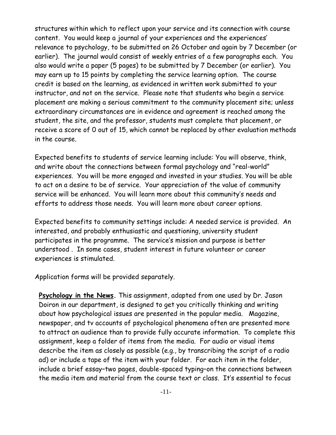structures within which to reflect upon your service and its connection with course content. You would keep a journal of your experiences and the experiences' relevance to psychology, to be submitted on 26 October and again by 7 December (or earlier). The journal would consist of weekly entries of a few paragraphs each. You also would write a paper (5 pages) to be submitted by 7 December (or earlier). You may earn up to 15 points by completing the service learning option. The course credit is based on the learning, as evidenced in written work submitted to your instructor, and not on the service. Please note that students who begin a service placement are making a serious commitment to the community placement site; unless extraordinary circumstances are in evidence and agreement is reached among the student, the site, and the professor, students must complete that placement, or receive a score of 0 out of 15, which cannot be replaced by other evaluation methods in the course.

Expected benefits to students of service learning include: You will observe, think, and write about the connections between formal psychology and "real-world" experiences. You will be more engaged and invested in your studies. You will be able to act on a desire to be of service. Your appreciation of the value of community service will be enhanced. You will learn more about this community's needs and efforts to address those needs. You will learn more about career options.

Expected benefits to community settings include: A needed service is provided. An interested, and probably enthusiastic and questioning, university student participates in the programme. The service's mission and purpose is better understood . In some cases, student interest in future volunteer or career experiences is stimulated.

Application forms will be provided separately.

**Psychology in the News.** This assignment, adapted from one used by Dr. Jason Doiron in our department, is designed to get you critically thinking and writing about how psychological issues are presented in the popular media. Magazine, newspaper, and tv accounts of psychological phenomena often are presented more to attract an audience than to provide fully accurate information. To complete this assignment, keep a folder of items from the media. For audio or visual items describe the item as closely as possible (e.g., by transcribing the script of a radio ad) or include a tape of the item with your folder. For each item in the folder, include a brief essay–two pages, double-spaced typing–on the connections between the media item and material from the course text or class. It's essential to focus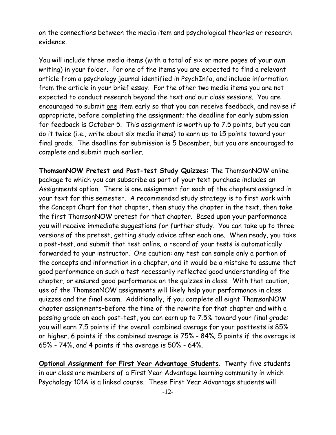on the connections between the media item and psychological theories or research evidence.

You will include three media items (with a total of six or more pages of your own writing) in your folder. For one of the items you are expected to find a relevant article from a psychology journal identified in PsychInfo, and include information from the article in your brief essay. For the other two media items you are not expected to conduct research beyond the text and our class sessions. You are encouraged to submit one item early so that you can receive feedback, and revise if appropriate, before completing the assignment; the deadline for early submission for feedback is October 5. This assignment is worth up to 7.5 points, but you can do it twice (i.e., write about six media items) to earn up to 15 points toward your final grade. The deadline for submission is 5 December, but you are encouraged to complete and submit much earlier.

**ThomsonNOW Pretest and Post-test Study Quizzes:** The ThomsonNOW online package to which you can subscribe as part of your text purchase includes an Assignments option. There is one assignment for each of the chapters assigned in your text for this semester. A recommended study strategy is to first work with the Concept Chart for that chapter, then study the chapter in the text, then take the first ThomsonNOW pretest for that chapter. Based upon your performance you will receive immediate suggestions for further study. You can take up to three versions of the pretest, getting study advice after each one. When ready, you take a post-test, and submit that test online; a record of your tests is automatically forwarded to your instructor. One caution: any test can sample only a portion of the concepts and information in a chapter, and it would be a mistake to assume that good performance on such a test necessarily reflected good understanding of the chapter, or ensured good performance on the quizzes in class. With that caution, use of the ThomsonNOW assignments will likely help your performance in class quizzes and the final exam. Additionally, if you complete all eight ThamsonNOW chapter assignments–before the time of the rewrite for that chapter and with a passing grade on each post-test, you can earn up to 7.5% toward your final grade: you will earn 7.5 points if the overall combined average for your posttests is 85% or higher, 6 points if the combined average is 75% - 84%; 5 points if the average is 65% - 74%, and 4 points if the average is 50% - 64%.

**Optional Assignment for First Year Advantage Students**. Twenty-five students in our class are members of a First Year Advantage learning community in which Psychology 101A is a linked course. These First Year Advantage students will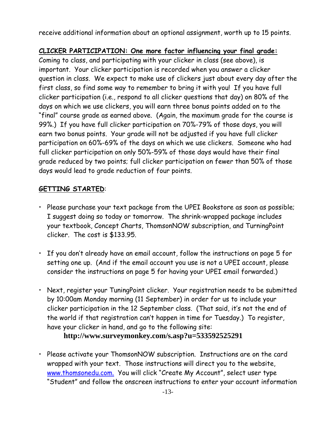receive additional information about an optional assignment, worth up to 15 points.

# **CLICKER PARTICIPATION: One more factor influencing your final grade:**

Coming to class, and participating with your clicker in class (see above), is important. Your clicker participation is recorded when you answer a clicker question in class. We expect to make use of clickers just about every day after the first class, so find some way to remember to bring it with you! If you have full clicker participation (i.e., respond to all clicker questions that day) on 80% of the days on which we use clickers, you will earn three bonus points added on to the "final" course grade as earned above. (Again, the maximum grade for the course is 99%.) If you have full clicker participation on 70%-79% of those days, you will earn two bonus points. Your grade will not be adjusted if you have full clicker participation on 60%-69% of the days on which we use clickers. Someone who had full clicker participation on only 50%-59% of those days would have their final grade reduced by two points; full clicker participation on fewer than 50% of those days would lead to grade reduction of four points.

# **GETTING STARTED**:

- Please purchase your text package from the UPEI Bookstore as soon as possible; I suggest doing so today or tomorrow. The shrink-wrapped package includes your textbook, Concept Charts, ThomsonNOW subscription, and TurningPoint clicker. The cost is \$133.95.
- If you don't already have an email account, follow the instructions on page 5 for setting one up. (And if the email account you use is not a UPEI account, please consider the instructions on page 5 for having your UPEI email forwarded.)
- Next, register your TuningPoint clicker. Your registration needs to be submitted by 10:00am Monday morning (11 September) in order for us to include your clicker participation in the 12 September class. (That said, it's not the end of the world if that registration can't happen in time for Tuesday.) To register, have your clicker in hand, and go to the following site:

**<http://www.surveymonkey.com/s.asp?u=533592525291>**

• Please activate your ThomsonNOW subscription. Instructions are on the card wrapped with your text. Those instructions will direct you to the website, [www.thomsonedu.com.](http://www.thomsonedu.com/) You will click "Create My Account", select user type "Student" and follow the onscreen instructions to enter your account information